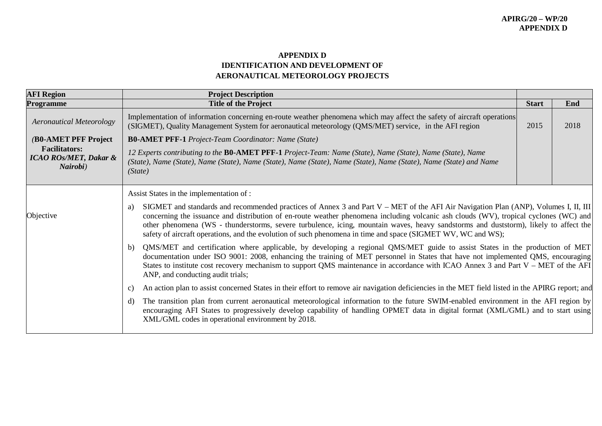## **APPENDIX D IDENTIFICATION AND DEVELOPMENT OF AERONAUTICAL METEOROLOGY PROJECTS**

| <b>AFI Region</b>                                                    | <b>Project Description</b>                                                                                                                                                                                                                                                                                                                                                                                                                                                                                                                 |              |      |
|----------------------------------------------------------------------|--------------------------------------------------------------------------------------------------------------------------------------------------------------------------------------------------------------------------------------------------------------------------------------------------------------------------------------------------------------------------------------------------------------------------------------------------------------------------------------------------------------------------------------------|--------------|------|
| Programme                                                            | <b>Title of the Project</b>                                                                                                                                                                                                                                                                                                                                                                                                                                                                                                                | <b>Start</b> | End  |
| <b>Aeronautical Meteorology</b>                                      | Implementation of information concerning en-route weather phenomena which may affect the safety of aircraft operations<br>(SIGMET), Quality Management System for aeronautical meteorology (QMS/MET) service, in the AFI region                                                                                                                                                                                                                                                                                                            | 2015         | 2018 |
| (B0-AMET PFF Project                                                 | <b>B0-AMET PFF-1</b> Project-Team Coordinator: Name (State)                                                                                                                                                                                                                                                                                                                                                                                                                                                                                |              |      |
| <b>Facilitators:</b><br><b>ICAO ROS/MET, Dakar &amp;</b><br>Nairobi) | 12 Experts contributing to the <b>BO-AMET PFF-1</b> Project-Team: Name (State), Name (State), Name (State), Name<br>(State), Name (State), Name (State), Name (State), Name (State), Name (State), Name (State), Name (State) and Name<br>(State)                                                                                                                                                                                                                                                                                          |              |      |
|                                                                      | Assist States in the implementation of :                                                                                                                                                                                                                                                                                                                                                                                                                                                                                                   |              |      |
| Objective                                                            | SIGMET and standards and recommended practices of Annex 3 and Part V – MET of the AFI Air Navigation Plan (ANP), Volumes I, II, III<br>a)<br>concerning the issuance and distribution of en-route weather phenomena including volcanic ash clouds (WV), tropical cyclones (WC) and<br>other phenomena (WS - thunderstorms, severe turbulence, icing, mountain waves, heavy sandstorms and duststorm), likely to affect the<br>safety of aircraft operations, and the evolution of such phenomena in time and space (SIGMET WV, WC and WS); |              |      |
|                                                                      | b) QMS/MET and certification where applicable, by developing a regional QMS/MET guide to assist States in the production of MET<br>documentation under ISO 9001: 2008, enhancing the training of MET personnel in States that have not implemented QMS, encouraging<br>States to institute cost recovery mechanism to support QMS maintenance in accordance with ICAO Annex 3 and Part V – MET of the AFI<br>ANP, and conducting audit trials;                                                                                             |              |      |
|                                                                      | An action plan to assist concerned States in their effort to remove air navigation deficiencies in the MET field listed in the APIRG report; and<br>C)                                                                                                                                                                                                                                                                                                                                                                                     |              |      |
|                                                                      | The transition plan from current aeronautical meteorological information to the future SWIM-enabled environment in the AFI region by<br>d)<br>encouraging AFI States to progressively develop capability of handling OPMET data in digital format (XML/GML) and to start using<br>XML/GML codes in operational environment by 2018.                                                                                                                                                                                                        |              |      |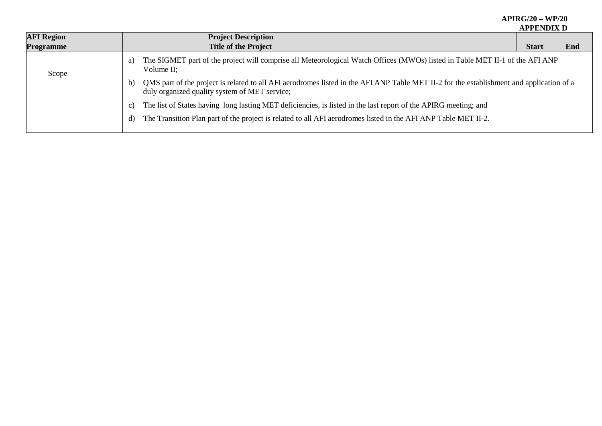| <b>AFI Region</b> | <b>Project Description</b>                                                                                                                                                                                |              |     |  |  |
|-------------------|-----------------------------------------------------------------------------------------------------------------------------------------------------------------------------------------------------------|--------------|-----|--|--|
| Programme         | <b>Title of the Project</b>                                                                                                                                                                               | <b>Start</b> | End |  |  |
| Scope             | The SIGMET part of the project will comprise all Meteorological Watch Offices (MWOs) listed in Table MET II-1 of the AFI ANP<br>a)<br>Volume II;                                                          |              |     |  |  |
|                   | QMS part of the project is related to all AFI aerodromes listed in the AFI ANP Table MET II-2 for the establishment and application of a<br>$\mathbf{b}$<br>duly organized quality system of MET service; |              |     |  |  |
|                   | The list of States having long lasting MET deficiencies, is listed in the last report of the APIRG meeting; and<br>$\mathcal{C}$ )                                                                        |              |     |  |  |
|                   | The Transition Plan part of the project is related to all AFI aerodromes listed in the AFI ANP Table MET II-2.<br>d)                                                                                      |              |     |  |  |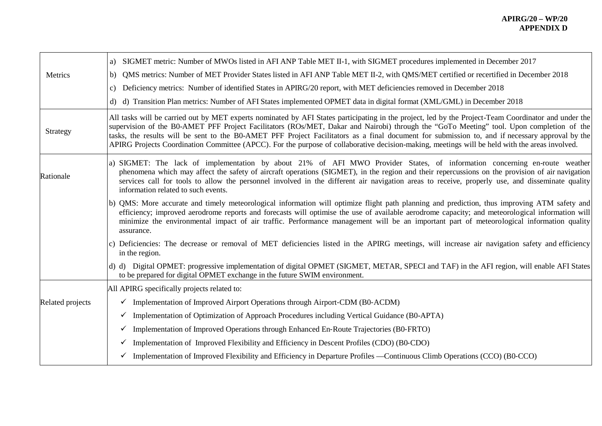|                  | a) SIGMET metric: Number of MWOs listed in AFI ANP Table MET II-1, with SIGMET procedures implemented in December 2017                                                                                                                                                                                                                                                                                                                                                                                                                                                                                |
|------------------|-------------------------------------------------------------------------------------------------------------------------------------------------------------------------------------------------------------------------------------------------------------------------------------------------------------------------------------------------------------------------------------------------------------------------------------------------------------------------------------------------------------------------------------------------------------------------------------------------------|
| Metrics          | b) QMS metrics: Number of MET Provider States listed in AFI ANP Table MET II-2, with QMS/MET certified or recertified in December 2018                                                                                                                                                                                                                                                                                                                                                                                                                                                                |
|                  | Deficiency metrics: Number of identified States in APIRG/20 report, with MET deficiencies removed in December 2018<br>c)                                                                                                                                                                                                                                                                                                                                                                                                                                                                              |
|                  | d) d) Transition Plan metrics: Number of AFI States implemented OPMET data in digital format (XML/GML) in December 2018                                                                                                                                                                                                                                                                                                                                                                                                                                                                               |
| Strategy         | All tasks will be carried out by MET experts nominated by AFI States participating in the project, led by the Project-Team Coordinator and under the<br>supervision of the B0-AMET PFF Project Facilitators (ROs/MET, Dakar and Nairobi) through the "GoTo Meeting" tool. Upon completion of the<br>tasks, the results will be sent to the B0-AMET PFF Project Facilitators as a final document for submission to, and if necessary approval by the<br>APIRG Projects Coordination Committee (APCC). For the purpose of collaborative decision-making, meetings will be held with the areas involved. |
| Rationale        | a) SIGMET: The lack of implementation by about 21% of AFI MWO Provider States, of information concerning en-route weather<br>phenomena which may affect the safety of aircraft operations (SIGMET), in the region and their repercussions on the provision of air navigation<br>services call for tools to allow the personnel involved in the different air navigation areas to receive, properly use, and disseminate quality<br>information related to such events.                                                                                                                                |
|                  | b) QMS: More accurate and timely meteorological information will optimize flight path planning and prediction, thus improving ATM safety and<br>efficiency; improved aerodrome reports and forecasts will optimise the use of available aerodrome capacity; and meteorological information will<br>minimize the environmental impact of air traffic. Performance management will be an important part of meteorological information quality<br>assurance.                                                                                                                                             |
|                  | c) Deficiencies: The decrease or removal of MET deficiencies listed in the APIRG meetings, will increase air navigation safety and efficiency<br>in the region.                                                                                                                                                                                                                                                                                                                                                                                                                                       |
|                  | d) d) Digital OPMET: progressive implementation of digital OPMET (SIGMET, METAR, SPECI and TAF) in the AFI region, will enable AFI States<br>to be prepared for digital OPMET exchange in the future SWIM environment.                                                                                                                                                                                                                                                                                                                                                                                |
|                  | All APIRG specifically projects related to:                                                                                                                                                                                                                                                                                                                                                                                                                                                                                                                                                           |
| Related projects | Implementation of Improved Airport Operations through Airport-CDM (B0-ACDM)<br>$\checkmark$                                                                                                                                                                                                                                                                                                                                                                                                                                                                                                           |
|                  | Implementation of Optimization of Approach Procedures including Vertical Guidance (B0-APTA)<br>$\checkmark$                                                                                                                                                                                                                                                                                                                                                                                                                                                                                           |
|                  | Implementation of Improved Operations through Enhanced En-Route Trajectories (B0-FRTO)<br>$\checkmark$                                                                                                                                                                                                                                                                                                                                                                                                                                                                                                |
|                  | Implementation of Improved Flexibility and Efficiency in Descent Profiles (CDO) (B0-CDO)<br>$\checkmark$                                                                                                                                                                                                                                                                                                                                                                                                                                                                                              |
|                  | Implementation of Improved Flexibility and Efficiency in Departure Profiles —Continuous Climb Operations (CCO) (B0-CCO)<br>✓                                                                                                                                                                                                                                                                                                                                                                                                                                                                          |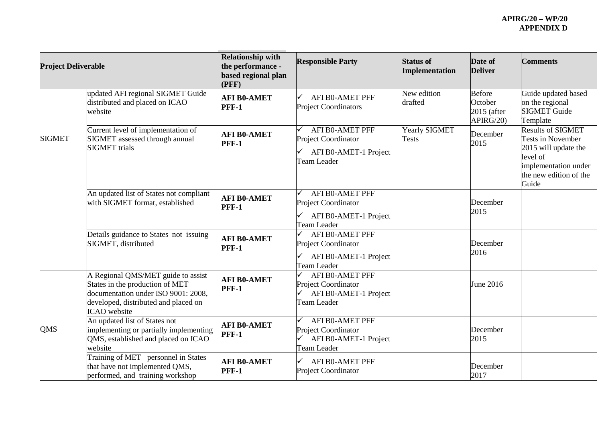| <b>Project Deliverable</b> |                                                                                                                                                                             | <b>Relationship with</b><br>the performance -<br>based regional plan<br>(PFF) | <b>Responsible Party</b>                                                                     | <b>Status of</b><br>Implementation | Date of<br><b>Deliver</b>                           | <b>Comments</b>                                                                                                                                     |
|----------------------------|-----------------------------------------------------------------------------------------------------------------------------------------------------------------------------|-------------------------------------------------------------------------------|----------------------------------------------------------------------------------------------|------------------------------------|-----------------------------------------------------|-----------------------------------------------------------------------------------------------------------------------------------------------------|
|                            | updated AFI regional SIGMET Guide<br>distributed and placed on ICAO<br>website                                                                                              | <b>AFI B0-AMET</b><br><b>PFF-1</b>                                            | <b>AFI B0-AMET PFF</b><br><b>Project Coordinators</b>                                        | New edition<br>drafted             | <b>Before</b><br>October<br>2015 (after<br>APIRG/20 | Guide updated based<br>on the regional<br><b>SIGMET Guide</b><br>Template                                                                           |
| <b>SIGMET</b>              | Current level of implementation of<br>SIGMET assessed through annual<br><b>SIGMET</b> trials                                                                                | <b>AFI B0-AMET</b><br><b>PFF-1</b>                                            | AFI B0-AMET PFF<br>Project Coordinator<br>AFI B0-AMET-1 Project<br>Team Leader               | Yearly SIGMET<br><b>Tests</b>      | December<br>2015                                    | <b>Results of SIGMET</b><br><b>Tests in November</b><br>2015 will update the<br>level of<br>implementation under<br>the new edition of the<br>Guide |
|                            | An updated list of States not compliant<br>with SIGMET format, established                                                                                                  | <b>AFI B0-AMET</b><br><b>PFF-1</b>                                            | <b>AFI BO-AMET PFF</b><br><b>Project Coordinator</b><br>AFI B0-AMET-1 Project<br>Team Leader |                                    | December<br>2015                                    |                                                                                                                                                     |
|                            | Details guidance to States not issuing<br>SIGMET, distributed                                                                                                               | <b>AFI B0-AMET</b><br><b>PFF-1</b>                                            | AFI B0-AMET PFF<br>Project Coordinator<br>AFI B0-AMET-1 Project<br>Team Leader               |                                    | December<br>2016                                    |                                                                                                                                                     |
|                            | A Regional QMS/MET guide to assist<br>States in the production of MET<br>documentation under ISO 9001: 2008,<br>developed, distributed and placed on<br><b>ICAO</b> website | <b>AFI B0-AMET</b><br><b>PFF-1</b>                                            | AFI B0-AMET PFF<br>Project Coordinator<br>AFI B0-AMET-1 Project<br>Team Leader               |                                    | June 2016                                           |                                                                                                                                                     |
| QMS                        | An updated list of States not<br>implementing or partially implementing<br>QMS, established and placed on ICAO<br>website                                                   | <b>AFI B0-AMET</b><br><b>PFF-1</b>                                            | <b>AFI BO-AMET PFF</b><br>Project Coordinator<br>AFI B0-AMET-1 Project<br>Team Leader        |                                    | December<br>2015                                    |                                                                                                                                                     |
|                            | Training of MET personnel in States<br>that have not implemented QMS,<br>performed, and training workshop                                                                   | <b>AFI B0-AMET</b><br><b>PFF-1</b>                                            | <b>AFI B0-AMET PFF</b><br>Project Coordinator                                                |                                    | December<br>2017                                    |                                                                                                                                                     |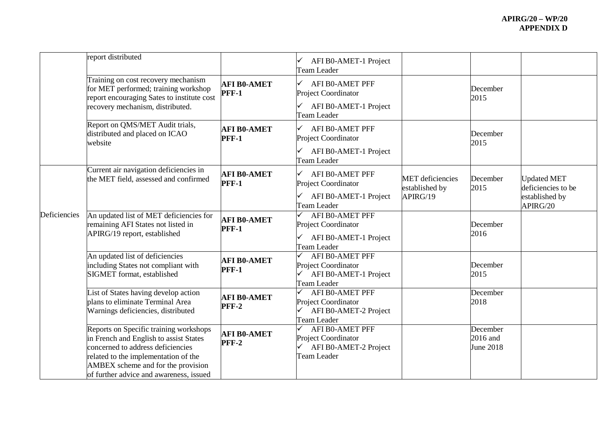|              | report distributed                                                                                                                                                                                                                             |                                    |                                                                                              |                                                       |                                     |                                                                        |
|--------------|------------------------------------------------------------------------------------------------------------------------------------------------------------------------------------------------------------------------------------------------|------------------------------------|----------------------------------------------------------------------------------------------|-------------------------------------------------------|-------------------------------------|------------------------------------------------------------------------|
|              |                                                                                                                                                                                                                                                |                                    | AFI B0-AMET-1 Project<br>Team Leader                                                         |                                                       |                                     |                                                                        |
|              | Training on cost recovery mechanism<br>for MET performed; training workshop<br>report encouraging Sates to institute cost<br>recovery mechanism, distributed.                                                                                  | <b>AFI BO-AMET</b><br><b>PFF-1</b> | AFI BO-AMET PFF<br>✓<br>Project Coordinator<br>AFI B0-AMET-1 Project<br>Team Leader          |                                                       | December<br>2015                    |                                                                        |
|              | Report on QMS/MET Audit trials,<br>distributed and placed on ICAO<br>website                                                                                                                                                                   | <b>AFI B0-AMET</b><br><b>PFF-1</b> | <b>AFI B0-AMET PFF</b><br>Project Coordinator<br>AFI B0-AMET-1 Project<br>Team Leader        |                                                       | December<br>2015                    |                                                                        |
|              | Current air navigation deficiencies in<br>the MET field, assessed and confirmed                                                                                                                                                                | <b>AFI B0-AMET</b><br>PFF-1        | <b>AFI B0-AMET PFF</b><br>✓<br>Project Coordinator<br>AFI B0-AMET-1 Project<br>Team Leader   | <b>MET</b> deficiencies<br>established by<br>APIRG/19 | December<br>2015                    | <b>Updated MET</b><br>deficiencies to be<br>established by<br>APIRG/20 |
| Deficiencies | An updated list of MET deficiencies for<br>remaining AFI States not listed in<br>APIRG/19 report, established                                                                                                                                  | <b>AFI B0-AMET</b><br><b>PFF-1</b> | AFI B0-AMET PFF<br>Project Coordinator<br>AFI B0-AMET-1 Project<br>Team Leader               |                                                       | December<br>2016                    |                                                                        |
|              | An updated list of deficiencies<br>including States not compliant with<br>SIGMET format, established                                                                                                                                           | <b>AFI B0-AMET</b><br><b>PFF-1</b> | <b>AFI BO-AMET PFF</b><br>Project Coordinator<br>AFI B0-AMET-1 Project<br>Team Leader        |                                                       | December<br>2015                    |                                                                        |
|              | List of States having develop action<br>plans to eliminate Terminal Area<br>Warnings deficiencies, distributed                                                                                                                                 | <b>AFI B0-AMET</b><br><b>PFF-2</b> | <b>AFI B0-AMET PFF</b><br>Project Coordinator<br>AFI B0-AMET-2 Project<br>Team Leader        |                                                       | December<br>2018                    |                                                                        |
|              | Reports on Specific training workshops<br>in French and English to assist States<br>concerned to address deficiencies<br>related to the implementation of the<br>AMBEX scheme and for the provision<br>of further advice and awareness, issued | <b>AFI B0-AMET</b><br><b>PFF-2</b> | <b>AFI B0-AMET PFF</b><br>Project Coordinator<br>AFI B0-AMET-2 Project<br><b>Team Leader</b> |                                                       | December<br>$2016$ and<br>June 2018 |                                                                        |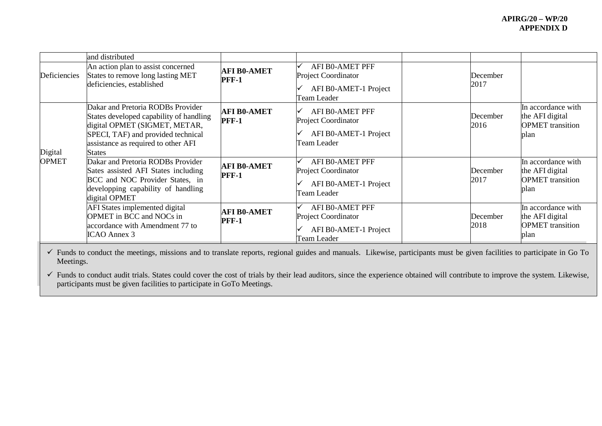|              | and distributed                                                                                                                                                                                             |                                    |                                                                                              |                  |                                                                          |
|--------------|-------------------------------------------------------------------------------------------------------------------------------------------------------------------------------------------------------------|------------------------------------|----------------------------------------------------------------------------------------------|------------------|--------------------------------------------------------------------------|
| Deficiencies | An action plan to assist concerned<br>States to remove long lasting MET<br>deficiencies, established                                                                                                        | <b>AFI B0-AMET</b><br><b>PFF-1</b> | AFI BO-AMET PFF<br><b>Project Coordinator</b><br>AFI B0-AMET-1 Project<br>Team Leader        | December<br>2017 |                                                                          |
| Digital      | Dakar and Pretoria RODBs Provider<br>States developed capability of handling<br>digital OPMET (SIGMET, METAR,<br>SPECI, TAF) and provided technical<br>assistance as required to other AFI<br><b>States</b> | <b>AFI B0-AMET</b><br><b>PFF-1</b> | AFI B0-AMET PFF<br><b>Project Coordinator</b><br>AFI B0-AMET-1 Project<br>Team Leader        | December<br>2016 | In accordance with<br>the AFI digital<br><b>OPMET</b> transition<br>plan |
| <b>OPMET</b> | Dakar and Pretoria RODBs Provider<br>Sates assisted AFI States including<br>BCC and NOC Provider States, in<br>developping capability of handling<br>digital OPMET                                          | <b>AFI B0-AMET</b><br><b>PFF-1</b> | AFI BO-AMET PFF<br>Project Coordinator<br>AFI B0-AMET-1 Project<br>Team Leader               | December<br>2017 | In accordance with<br>the AFI digital<br><b>OPMET</b> transition<br>plan |
|              | AFI States implemented digital<br><b>OPMET</b> in BCC and NOCs in<br>accordance with Amendment 77 to<br>ICAO Annex 3                                                                                        | <b>AFI B0-AMET</b><br><b>PFF-1</b> | AFI BO-AMET PFF<br><b>Project Coordinator</b><br>AFI B0-AMET-1 Project<br><b>Team Leader</b> | December<br>2018 | In accordance with<br>the AFI digital<br><b>OPMET</b> transition<br>plan |

 Funds to conduct the meetings, missions and to translate reports, regional guides and manuals. Likewise, participants must be given facilities to participate in Go To Meetings.

 Funds to conduct audit trials. States could cover the cost of trials by their lead auditors, since the experience obtained will contribute to improve the system. Likewise, participants must be given facilities to participate in GoTo Meetings.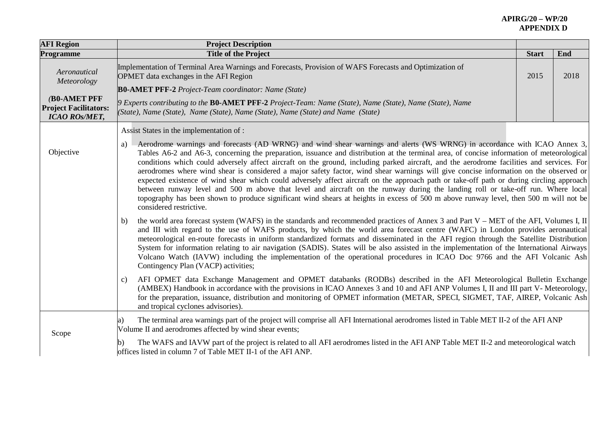| <b>AFI Region</b>                                                           | <b>Project Description</b>                                                                                                                                                                                                                                                                                                                                                                                                                                                                                                                                                                                                                                                                                                                                                                                                                                                                                                                                                                                         |              |      |
|-----------------------------------------------------------------------------|--------------------------------------------------------------------------------------------------------------------------------------------------------------------------------------------------------------------------------------------------------------------------------------------------------------------------------------------------------------------------------------------------------------------------------------------------------------------------------------------------------------------------------------------------------------------------------------------------------------------------------------------------------------------------------------------------------------------------------------------------------------------------------------------------------------------------------------------------------------------------------------------------------------------------------------------------------------------------------------------------------------------|--------------|------|
| <b>Programme</b>                                                            | <b>Title of the Project</b>                                                                                                                                                                                                                                                                                                                                                                                                                                                                                                                                                                                                                                                                                                                                                                                                                                                                                                                                                                                        | <b>Start</b> | End  |
| Aeronautical<br>Meteorology                                                 | Implementation of Terminal Area Warnings and Forecasts, Provision of WAFS Forecasts and Optimization of<br>OPMET data exchanges in the AFI Region                                                                                                                                                                                                                                                                                                                                                                                                                                                                                                                                                                                                                                                                                                                                                                                                                                                                  | 2015         | 2018 |
|                                                                             | <b>B0-AMET PFF-2</b> Project-Team coordinator: Name (State)                                                                                                                                                                                                                                                                                                                                                                                                                                                                                                                                                                                                                                                                                                                                                                                                                                                                                                                                                        |              |      |
| <b>(B0-AMET PFF</b><br><b>Project Facilitators:</b><br><b>ICAO ROS/MET,</b> | 9 Experts contributing to the <b>B0-AMET PFF-2</b> Project-Team: Name (State), Name (State), Name (State), Name<br>(State), Name (State), Name (State), Name (State), Name (State) and Name (State)                                                                                                                                                                                                                                                                                                                                                                                                                                                                                                                                                                                                                                                                                                                                                                                                                |              |      |
|                                                                             | Assist States in the implementation of :                                                                                                                                                                                                                                                                                                                                                                                                                                                                                                                                                                                                                                                                                                                                                                                                                                                                                                                                                                           |              |      |
| Objective                                                                   | a) Aerodrome warnings and forecasts (AD WRNG) and wind shear warnings and alerts (WS WRNG) in accordance with ICAO Annex 3,<br>Tables A6-2 and A6-3, concerning the preparation, issuance and distribution at the terminal area, of concise information of meteorological<br>conditions which could adversely affect aircraft on the ground, including parked aircraft, and the aerodrome facilities and services. For<br>aerodromes where wind shear is considered a major safety factor, wind shear warnings will give concise information on the observed or<br>expected existence of wind shear which could adversely affect aircraft on the approach path or take-off path or during circling approach<br>between runway level and 500 m above that level and aircraft on the runway during the landing roll or take-off run. Where local<br>topography has been shown to produce significant wind shears at heights in excess of 500 m above runway level, then 500 m will not be<br>considered restrictive. |              |      |
|                                                                             | the world area forecast system (WAFS) in the standards and recommended practices of Annex 3 and Part V - MET of the AFI, Volumes I, II<br>b)<br>and III with regard to the use of WAFS products, by which the world area forecast centre (WAFC) in London provides aeronautical<br>meteorological en-route forecasts in uniform standardized formats and disseminated in the AFI region through the Satellite Distribution<br>System for information relating to air navigation (SADIS). States will be also assisted in the implementation of the International Airways<br>Volcano Watch (IAVW) including the implementation of the operational procedures in ICAO Doc 9766 and the AFI Volcanic Ash<br>Contingency Plan (VACP) activities;                                                                                                                                                                                                                                                                       |              |      |
|                                                                             | AFI OPMET data Exchange Management and OPMET databanks (RODBs) described in the AFI Meteorological Bulletin Exchange<br>c)<br>(AMBEX) Handbook in accordance with the provisions in ICAO Annexes 3 and 10 and AFI ANP Volumes I, II and III part V- Meteorology,<br>for the preparation, issuance, distribution and monitoring of OPMET information (METAR, SPECI, SIGMET, TAF, AIREP, Volcanic Ash<br>and tropical cyclones advisories).                                                                                                                                                                                                                                                                                                                                                                                                                                                                                                                                                                          |              |      |
| Scope                                                                       | The terminal area warnings part of the project will comprise all AFI International aerodromes listed in Table MET II-2 of the AFI ANP<br>a)<br>Volume II and aerodromes affected by wind shear events;                                                                                                                                                                                                                                                                                                                                                                                                                                                                                                                                                                                                                                                                                                                                                                                                             |              |      |
|                                                                             | The WAFS and IAVW part of the project is related to all AFI aerodromes listed in the AFI ANP Table MET II-2 and meteorological watch<br>offices listed in column 7 of Table MET II-1 of the AFI ANP.                                                                                                                                                                                                                                                                                                                                                                                                                                                                                                                                                                                                                                                                                                                                                                                                               |              |      |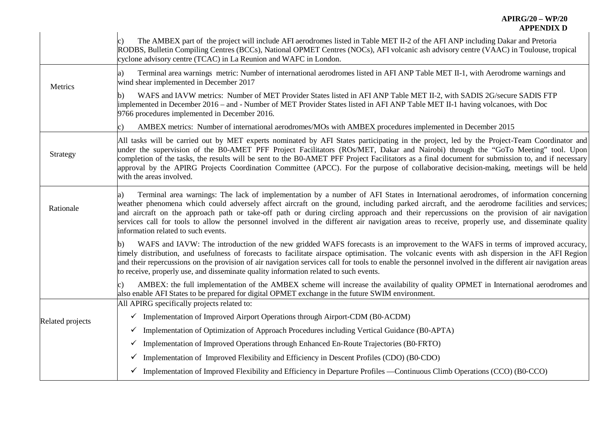|                  | AFF EINDIA D                                                                                                                                                                                                                                                                                                                                                                                                                                                                                                                                                                                                                     |
|------------------|----------------------------------------------------------------------------------------------------------------------------------------------------------------------------------------------------------------------------------------------------------------------------------------------------------------------------------------------------------------------------------------------------------------------------------------------------------------------------------------------------------------------------------------------------------------------------------------------------------------------------------|
|                  | The AMBEX part of the project will include AFI aerodromes listed in Table MET II-2 of the AFI ANP including Dakar and Pretoria<br>RODBS, Bulletin Compiling Centres (BCCs), National OPMET Centres (NOCs), AFI volcanic ash advisory centre (VAAC) in Toulouse, tropical<br>cyclone advisory centre (TCAC) in La Reunion and WAFC in London.                                                                                                                                                                                                                                                                                     |
| Metrics          | Terminal area warnings metric: Number of international aerodromes listed in AFI ANP Table MET II-1, with Aerodrome warnings and<br>a)<br>wind shear implemented in December 2017                                                                                                                                                                                                                                                                                                                                                                                                                                                 |
|                  | WAFS and IAVW metrics: Number of MET Provider States listed in AFI ANP Table MET II-2, with SADIS 2G/secure SADIS FTP<br>b)<br>implemented in December 2016 – and - Number of MET Provider States listed in AFI ANP Table MET II-1 having volcanoes, with Doc<br>9766 procedures implemented in December 2016.                                                                                                                                                                                                                                                                                                                   |
|                  | AMBEX metrics: Number of international aerodromes/MOs with AMBEX procedures implemented in December 2015                                                                                                                                                                                                                                                                                                                                                                                                                                                                                                                         |
| Strategy         | All tasks will be carried out by MET experts nominated by AFI States participating in the project, led by the Project-Team Coordinator and<br>under the supervision of the B0-AMET PFF Project Facilitators (ROs/MET, Dakar and Nairobi) through the "GoTo Meeting" tool. Upon<br>completion of the tasks, the results will be sent to the B0-AMET PFF Project Facilitators as a final document for submission to, and if necessary<br>approval by the APIRG Projects Coordination Committee (APCC). For the purpose of collaborative decision-making, meetings will be held<br>with the areas involved.                         |
| Rationale        | Terminal area warnings: The lack of implementation by a number of AFI States in International aerodromes, of information concerning<br>a)<br>weather phenomena which could adversely affect aircraft on the ground, including parked aircraft, and the aerodrome facilities and services;<br>and aircraft on the approach path or take-off path or during circling approach and their repercussions on the provision of air navigation<br>services call for tools to allow the personnel involved in the different air navigation areas to receive, properly use, and disseminate quality<br>information related to such events. |
|                  | WAFS and IAVW: The introduction of the new gridded WAFS forecasts is an improvement to the WAFS in terms of improved accuracy,<br>b)<br>timely distribution, and usefulness of forecasts to facilitate airspace optimisation. The volcanic events with ash dispersion in the AFI Region<br>and their repercussions on the provision of air navigation services call for tools to enable the personnel involved in the different air navigation areas<br>to receive, properly use, and disseminate quality information related to such events.                                                                                    |
|                  | AMBEX: the full implementation of the AMBEX scheme will increase the availability of quality OPMET in International aerodromes and<br>also enable AFI States to be prepared for digital OPMET exchange in the future SWIM environment.<br>All APIRG specifically projects related to:                                                                                                                                                                                                                                                                                                                                            |
|                  | $\checkmark$ Implementation of Improved Airport Operations through Airport-CDM (B0-ACDM)                                                                                                                                                                                                                                                                                                                                                                                                                                                                                                                                         |
| Related projects | Implementation of Optimization of Approach Procedures including Vertical Guidance (B0-APTA)<br>$\checkmark$                                                                                                                                                                                                                                                                                                                                                                                                                                                                                                                      |
|                  | Implementation of Improved Operations through Enhanced En-Route Trajectories (B0-FRTO)<br>✓                                                                                                                                                                                                                                                                                                                                                                                                                                                                                                                                      |
|                  | Implementation of Improved Flexibility and Efficiency in Descent Profiles (CDO) (B0-CDO)<br>$\checkmark$                                                                                                                                                                                                                                                                                                                                                                                                                                                                                                                         |
|                  | $\checkmark$ Implementation of Improved Flexibility and Efficiency in Departure Profiles —Continuous Climb Operations (CCO) (B0-CCO)                                                                                                                                                                                                                                                                                                                                                                                                                                                                                             |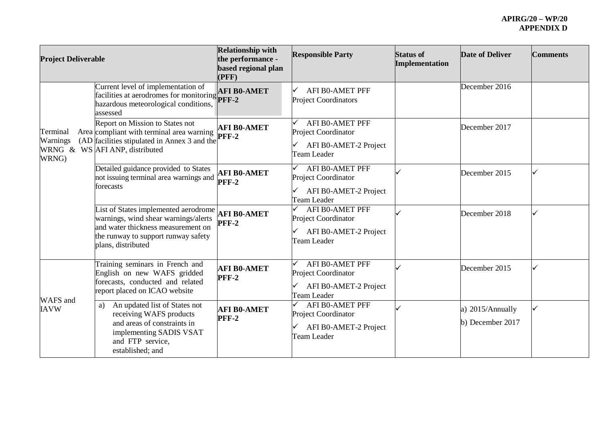| <b>Project Deliverable</b>    |                                                                                                                                                                                 | <b>Relationship with</b><br>the performance -<br>based regional plan<br>(PFF) | <b>Responsible Party</b>                                                                          | <b>Status of</b><br><b>Implementation</b> | Date of Deliver                      | <b>Comments</b> |
|-------------------------------|---------------------------------------------------------------------------------------------------------------------------------------------------------------------------------|-------------------------------------------------------------------------------|---------------------------------------------------------------------------------------------------|-------------------------------------------|--------------------------------------|-----------------|
|                               | Current level of implementation of<br>Facilities at aerodromes for monitoring <b>AFI</b> BY<br>hazardous meteorological conditions,<br>assessed                                 | <b>AFI B0-AMET</b>                                                            | AFI B0-AMET PFF<br><b>Project Coordinators</b>                                                    |                                           | December 2016                        |                 |
| Terminal<br>Warnings<br>WRNG) | Report on Mission to States not<br>Area compliant with terminal area warning<br>(AD facilities stipulated in Annex 3 and the<br>WRNG & WS AFI ANP, distributed                  | <b>AFI B0-AMET</b><br><b>PFF-2</b>                                            | AFI B0-AMET PFF<br>Project Coordinator<br>AFI B0-AMET-2 Project<br>✓<br><b>Team Leader</b>        |                                           | December 2017                        |                 |
|                               | Detailed guidance provided to States<br>not issuing terminal area warnings and<br>forecasts                                                                                     | <b>AFI B0-AMET</b><br><b>PFF-2</b>                                            | <b>AFI B0-AMET PFF</b><br>Project Coordinator<br>AFI B0-AMET-2 Project<br>Team Leader             |                                           | December 2015                        |                 |
|                               | List of States implemented aerodrome<br>warnings, wind shear warnings/alerts<br>and water thickness measurement on<br>the runway to support runway safety<br>plans, distributed | <b>AFI B0-AMET</b><br><b>PFF-2</b>                                            | <b>AFI B0-AMET PFF</b><br>✓<br>Project Coordinator<br>AFI B0-AMET-2 Project<br>✓<br>Team Leader   |                                           | December 2018                        |                 |
| WAFS and                      | Training seminars in French and<br>English on new WAFS gridded<br>forecasts, conducted and related<br>report placed on ICAO website                                             | <b>AFI B0-AMET</b><br><b>PFF-2</b>                                            | <b>AFI B0-AMET PFF</b><br>Project Coordinator<br>AFI B0-AMET-2 Project<br>✓<br><b>Team Leader</b> |                                           | December 2015                        |                 |
| <b>IAVW</b>                   | An updated list of States not<br>a)<br>receiving WAFS products<br>and areas of constraints in<br>implementing SADIS VSAT<br>and FTP service,<br>established; and                | <b>AFI B0-AMET</b><br><b>PFF-2</b>                                            | <b>AFI B0-AMET PFF</b><br>Project Coordinator<br>AFI B0-AMET-2 Project<br>✓<br>Team Leader        |                                           | a) 2015/Annually<br>b) December 2017 |                 |